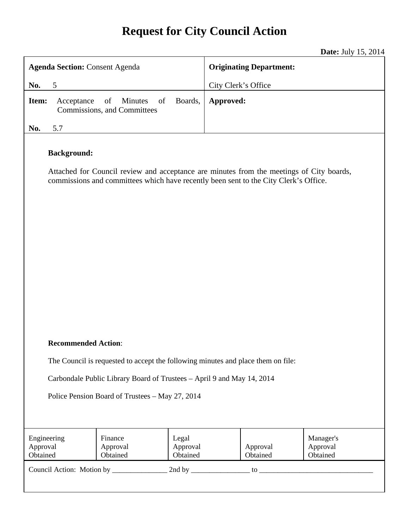# **Request for City Council Action**

**Date:** July 15, 2014

| <b>Agenda Section: Consent Agenda</b>                                                                                                                                                                  |                                                    | <b>Originating Department:</b> |           |                      |                                   |
|--------------------------------------------------------------------------------------------------------------------------------------------------------------------------------------------------------|----------------------------------------------------|--------------------------------|-----------|----------------------|-----------------------------------|
| No.<br>5                                                                                                                                                                                               |                                                    | City Clerk's Office            |           |                      |                                   |
| Item:<br>Acceptance                                                                                                                                                                                    | Minutes<br>of<br>of<br>Commissions, and Committees | Boards,                        | Approved: |                      |                                   |
| 5.7<br>No.                                                                                                                                                                                             |                                                    |                                |           |                      |                                   |
| <b>Background:</b><br>Attached for Council review and acceptance are minutes from the meetings of City boards,<br>commissions and committees which have recently been sent to the City Clerk's Office. |                                                    |                                |           |                      |                                   |
| <b>Recommended Action:</b>                                                                                                                                                                             |                                                    |                                |           |                      |                                   |
| The Council is requested to accept the following minutes and place them on file:                                                                                                                       |                                                    |                                |           |                      |                                   |
|                                                                                                                                                                                                        |                                                    |                                |           |                      |                                   |
| Carbondale Public Library Board of Trustees - April 9 and May 14, 2014                                                                                                                                 |                                                    |                                |           |                      |                                   |
| Police Pension Board of Trustees - May 27, 2014                                                                                                                                                        |                                                    |                                |           |                      |                                   |
| Engineering<br>Approval<br>Obtained                                                                                                                                                                    | Finance<br>Approval<br>Obtained                    | Legal<br>Approval<br>Obtained  |           | Approval<br>Obtained | Manager's<br>Approval<br>Obtained |

Council Action: Motion by \_\_\_\_\_\_\_\_\_\_\_\_\_\_\_ 2nd by \_\_\_\_\_\_\_\_\_\_\_\_\_\_\_\_ to \_\_\_\_\_\_\_\_\_\_\_\_\_\_\_\_\_\_\_\_\_\_\_\_\_\_\_\_\_\_\_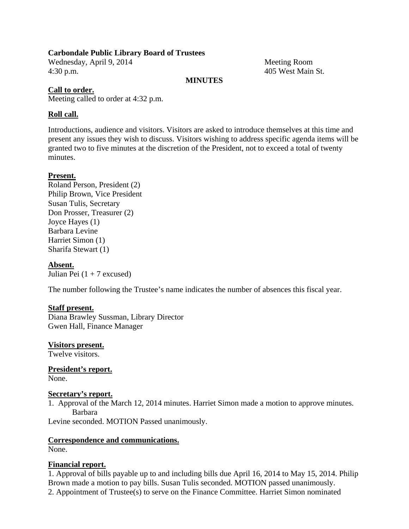#### **Carbondale Public Library Board of Trustees**

Wednesday, April 9, 2014 Meeting Room 4:30 p.m. 405 West Main St.

#### **MINUTES**

#### **Call to order.**

Meeting called to order at 4:32 p.m.

#### **Roll call.**

Introductions, audience and visitors. Visitors are asked to introduce themselves at this time and present any issues they wish to discuss. Visitors wishing to address specific agenda items will be granted two to five minutes at the discretion of the President, not to exceed a total of twenty minutes.

#### **Present.**

Roland Person, President (2) Philip Brown, Vice President Susan Tulis, Secretary Don Prosser, Treasurer (2) Joyce Hayes (1) Barbara Levine Harriet Simon (1) Sharifa Stewart (1)

#### **Absent.**

Julian Pei  $(1 + 7$  excused)

The number following the Trustee's name indicates the number of absences this fiscal year.

#### **Staff present.**

Diana Brawley Sussman, Library Director Gwen Hall, Finance Manager

#### **Visitors present.**

Twelve visitors.

**President's report.**  None.

#### **Secretary's report.**

1. Approval of the March 12, 2014 minutes. Harriet Simon made a motion to approve minutes. Barbara

Levine seconded. MOTION Passed unanimously.

## **Correspondence and communications.**

None.

#### **Financial report.**

1. Approval of bills payable up to and including bills due April 16, 2014 to May 15, 2014. Philip Brown made a motion to pay bills. Susan Tulis seconded. MOTION passed unanimously. 2. Appointment of Trustee(s) to serve on the Finance Committee. Harriet Simon nominated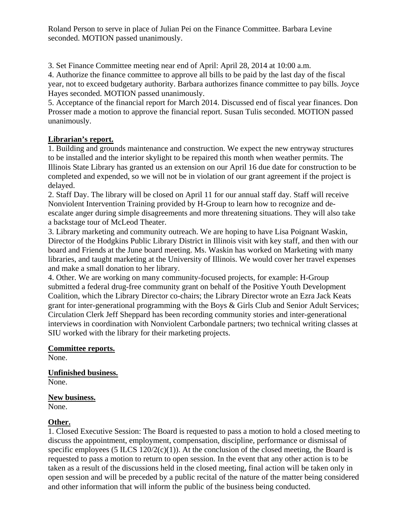Roland Person to serve in place of Julian Pei on the Finance Committee. Barbara Levine seconded. MOTION passed unanimously.

3. Set Finance Committee meeting near end of April: April 28, 2014 at 10:00 a.m.

4. Authorize the finance committee to approve all bills to be paid by the last day of the fiscal year, not to exceed budgetary authority. Barbara authorizes finance committee to pay bills. Joyce Hayes seconded. MOTION passed unanimously.

5. Acceptance of the financial report for March 2014. Discussed end of fiscal year finances. Don Prosser made a motion to approve the financial report. Susan Tulis seconded. MOTION passed unanimously.

# **Librarian's report.**

1. Building and grounds maintenance and construction. We expect the new entryway structures to be installed and the interior skylight to be repaired this month when weather permits. The Illinois State Library has granted us an extension on our April 16 due date for construction to be completed and expended, so we will not be in violation of our grant agreement if the project is delayed.

2. Staff Day. The library will be closed on April 11 for our annual staff day. Staff will receive Nonviolent Intervention Training provided by H-Group to learn how to recognize and deescalate anger during simple disagreements and more threatening situations. They will also take a backstage tour of McLeod Theater.

3. Library marketing and community outreach. We are hoping to have Lisa Poignant Waskin, Director of the Hodgkins Public Library District in Illinois visit with key staff, and then with our board and Friends at the June board meeting. Ms. Waskin has worked on Marketing with many libraries, and taught marketing at the University of Illinois. We would cover her travel expenses and make a small donation to her library.

4. Other. We are working on many community-focused projects, for example: H-Group submitted a federal drug-free community grant on behalf of the Positive Youth Development Coalition, which the Library Director co-chairs; the Library Director wrote an Ezra Jack Keats grant for inter-generational programming with the Boys & Girls Club and Senior Adult Services; Circulation Clerk Jeff Sheppard has been recording community stories and inter-generational interviews in coordination with Nonviolent Carbondale partners; two technical writing classes at SIU worked with the library for their marketing projects.

## **Committee reports.**

None.

**Unfinished business.**  None.

## **New business.**

None.

# **Other.**

1. Closed Executive Session: The Board is requested to pass a motion to hold a closed meeting to discuss the appointment, employment, compensation, discipline, performance or dismissal of specific employees (5 ILCS  $120/2(c)(1)$ ). At the conclusion of the closed meeting, the Board is requested to pass a motion to return to open session. In the event that any other action is to be taken as a result of the discussions held in the closed meeting, final action will be taken only in open session and will be preceded by a public recital of the nature of the matter being considered and other information that will inform the public of the business being conducted.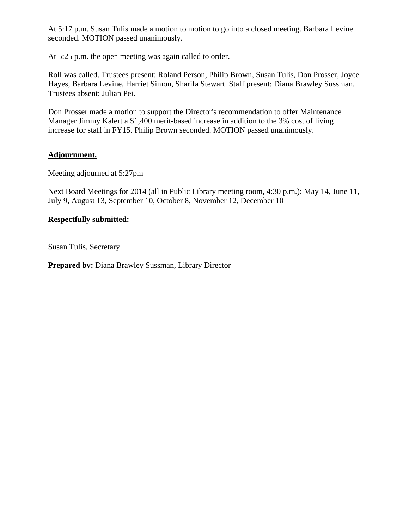At 5:17 p.m. Susan Tulis made a motion to motion to go into a closed meeting. Barbara Levine seconded. MOTION passed unanimously.

At 5:25 p.m. the open meeting was again called to order.

Roll was called. Trustees present: Roland Person, Philip Brown, Susan Tulis, Don Prosser, Joyce Hayes, Barbara Levine, Harriet Simon, Sharifa Stewart. Staff present: Diana Brawley Sussman. Trustees absent: Julian Pei.

Don Prosser made a motion to support the Director's recommendation to offer Maintenance Manager Jimmy Kalert a \$1,400 merit-based increase in addition to the 3% cost of living increase for staff in FY15. Philip Brown seconded. MOTION passed unanimously.

## **Adjournment.**

Meeting adjourned at 5:27pm

Next Board Meetings for 2014 (all in Public Library meeting room, 4:30 p.m.): May 14, June 11, July 9, August 13, September 10, October 8, November 12, December 10

#### **Respectfully submitted:**

Susan Tulis, Secretary

**Prepared by:** Diana Brawley Sussman, Library Director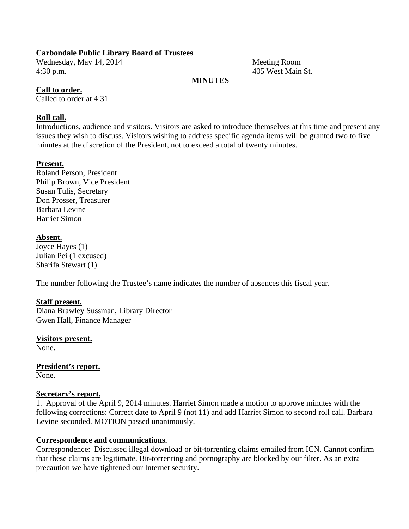#### **Carbondale Public Library Board of Trustees**

Wednesday, May 14, 2014 Meeting Room 4:30 p.m. 405 West Main St.

#### **MINUTES**

#### **Call to order.**

Called to order at 4:31

#### **Roll call.**

Introductions, audience and visitors. Visitors are asked to introduce themselves at this time and present any issues they wish to discuss. Visitors wishing to address specific agenda items will be granted two to five minutes at the discretion of the President, not to exceed a total of twenty minutes.

#### **Present.**

Roland Person, President Philip Brown, Vice President Susan Tulis, Secretary Don Prosser, Treasurer Barbara Levine Harriet Simon

#### **Absent.**

Joyce Hayes (1) Julian Pei (1 excused) Sharifa Stewart (1)

The number following the Trustee's name indicates the number of absences this fiscal year.

#### **Staff present.**

Diana Brawley Sussman, Library Director Gwen Hall, Finance Manager

**Visitors present.**  None.

**President's report.**  None.

#### **Secretary's report.**

1. Approval of the April 9, 2014 minutes. Harriet Simon made a motion to approve minutes with the following corrections: Correct date to April 9 (not 11) and add Harriet Simon to second roll call. Barbara Levine seconded. MOTION passed unanimously.

#### **Correspondence and communications.**

Correspondence: Discussed illegal download or bit-torrenting claims emailed from ICN. Cannot confirm that these claims are legitimate. Bit-torrenting and pornography are blocked by our filter. As an extra precaution we have tightened our Internet security.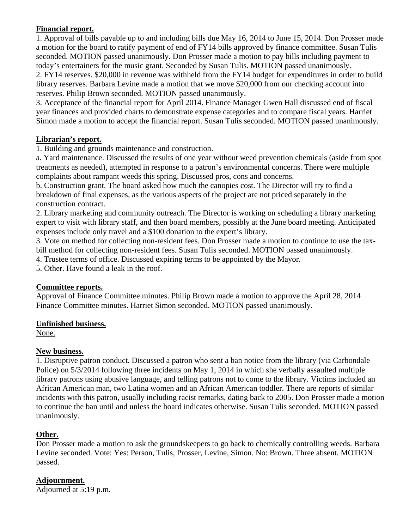## **Financial report.**

1. Approval of bills payable up to and including bills due May 16, 2014 to June 15, 2014. Don Prosser made a motion for the board to ratify payment of end of FY14 bills approved by finance committee. Susan Tulis seconded. MOTION passed unanimously. Don Prosser made a motion to pay bills including payment to today's entertainers for the music grant. Seconded by Susan Tulis. MOTION passed unanimously. 2. FY14 reserves. \$20,000 in revenue was withheld from the FY14 budget for expenditures in order to build library reserves. Barbara Levine made a motion that we move \$20,000 from our checking account into reserves. Philip Brown seconded. MOTION passed unanimously.

3. Acceptance of the financial report for April 2014. Finance Manager Gwen Hall discussed end of fiscal year finances and provided charts to demonstrate expense categories and to compare fiscal years. Harriet Simon made a motion to accept the financial report. Susan Tulis seconded. MOTION passed unanimously.

# **Librarian's report.**

1. Building and grounds maintenance and construction.

a. Yard maintenance. Discussed the results of one year without weed prevention chemicals (aside from spot treatments as needed), attempted in response to a patron's environmental concerns. There were multiple complaints about rampant weeds this spring. Discussed pros, cons and concerns.

b. Construction grant. The board asked how much the canopies cost. The Director will try to find a breakdown of final expenses, as the various aspects of the project are not priced separately in the construction contract.

2. Library marketing and community outreach. The Director is working on scheduling a library marketing expert to visit with library staff, and then board members, possibly at the June board meeting. Anticipated expenses include only travel and a \$100 donation to the expert's library.

3. Vote on method for collecting non-resident fees. Don Prosser made a motion to continue to use the taxbill method for collecting non-resident fees. Susan Tulis seconded. MOTION passed unanimously.

4. Trustee terms of office. Discussed expiring terms to be appointed by the Mayor.

5. Other. Have found a leak in the roof.

## **Committee reports.**

Approval of Finance Committee minutes. Philip Brown made a motion to approve the April 28, 2014 Finance Committee minutes. Harriet Simon seconded. MOTION passed unanimously.

## **Unfinished business.**

None.

## **New business.**

1. Disruptive patron conduct. Discussed a patron who sent a ban notice from the library (via Carbondale Police) on 5/3/2014 following three incidents on May 1, 2014 in which she verbally assaulted multiple library patrons using abusive language, and telling patrons not to come to the library. Victims included an African American man, two Latina women and an African American toddler. There are reports of similar incidents with this patron, usually including racist remarks, dating back to 2005. Don Prosser made a motion to continue the ban until and unless the board indicates otherwise. Susan Tulis seconded. MOTION passed unanimously.

# **Other.**

Don Prosser made a motion to ask the groundskeepers to go back to chemically controlling weeds. Barbara Levine seconded. Vote: Yes: Person, Tulis, Prosser, Levine, Simon. No: Brown. Three absent. MOTION passed.

**Adjournment.**  Adjourned at 5:19 p.m.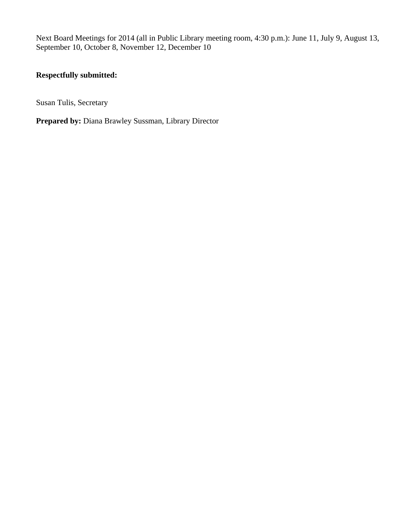Next Board Meetings for 2014 (all in Public Library meeting room, 4:30 p.m.): June 11, July 9, August 13, September 10, October 8, November 12, December 10

# **Respectfully submitted:**

Susan Tulis, Secretary

**Prepared by:** Diana Brawley Sussman, Library Director